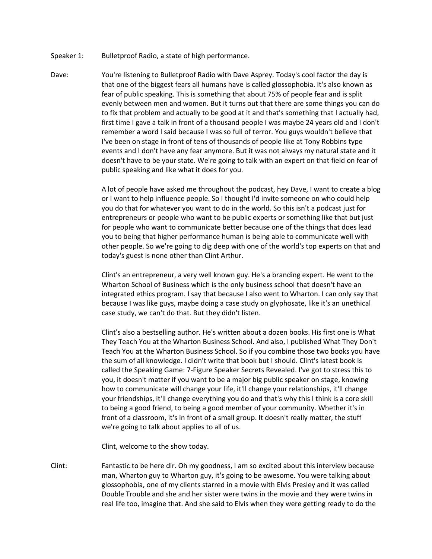- Speaker 1: Bulletproof Radio, a state of high performance.
- Dave: You're listening to Bulletproof Radio with Dave Asprey. Today's cool factor the day is that one of the biggest fears all humans have is called glossophobia. It's also known as fear of public speaking. This is something that about 75% of people fear and is split evenly between men and women. But it turns out that there are some things you can do to fix that problem and actually to be good at it and that's something that I actually had, first time I gave a talk in front of a thousand people I was maybe 24 years old and I don't remember a word I said because I was so full of terror. You guys wouldn't believe that I've been on stage in front of tens of thousands of people like at Tony Robbins type events and I don't have any fear anymore. But it was not always my natural state and it doesn't have to be your state. We're going to talk with an expert on that field on fear of public speaking and like what it does for you.

A lot of people have asked me throughout the podcast, hey Dave, I want to create a blog or I want to help influence people. So I thought I'd invite someone on who could help you do that for whatever you want to do in the world. So this isn't a podcast just for entrepreneurs or people who want to be public experts or something like that but just for people who want to communicate better because one of the things that does lead you to being that higher performance human is being able to communicate well with other people. So we're going to dig deep with one of the world's top experts on that and today's guest is none other than Clint Arthur.

Clint's an entrepreneur, a very well known guy. He's a branding expert. He went to the Wharton School of Business which is the only business school that doesn't have an integrated ethics program. I say that because I also went to Wharton. I can only say that because I was like guys, maybe doing a case study on glyphosate, like it's an unethical case study, we can't do that. But they didn't listen.

Clint's also a bestselling author. He's written about a dozen books. His first one is What They Teach You at the Wharton Business School. And also, I published What They Don't Teach You at the Wharton Business School. So if you combine those two books you have the sum of all knowledge. I didn't write that book but I should. Clint's latest book is called the Speaking Game: 7-Figure Speaker Secrets Revealed. I've got to stress this to you, it doesn't matter if you want to be a major big public speaker on stage, knowing how to communicate will change your life, it'll change your relationships, it'll change your friendships, it'll change everything you do and that's why this I think is a core skill to being a good friend, to being a good member of your community. Whether it's in front of a classroom, it's in front of a small group. It doesn't really matter, the stuff we're going to talk about applies to all of us.

Clint, welcome to the show today.

Clint: Fantastic to be here dir. Oh my goodness, I am so excited about this interview because man, Wharton guy to Wharton guy, it's going to be awesome. You were talking about glossophobia, one of my clients starred in a movie with Elvis Presley and it was called Double Trouble and she and her sister were twins in the movie and they were twins in real life too, imagine that. And she said to Elvis when they were getting ready to do the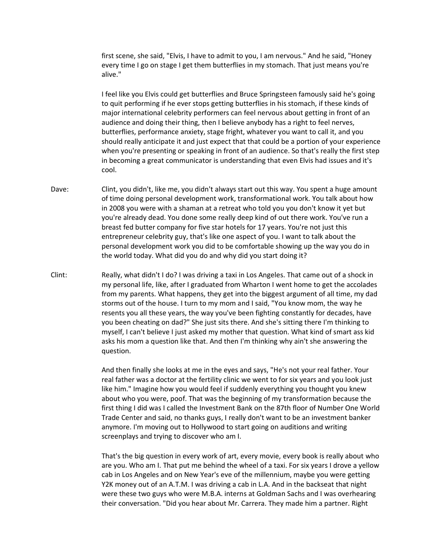first scene, she said, "Elvis, I have to admit to you, I am nervous." And he said, "Honey every time I go on stage I get them butterflies in my stomach. That just means you're alive."

I feel like you Elvis could get butterflies and Bruce Springsteen famously said he's going to quit performing if he ever stops getting butterflies in his stomach, if these kinds of major international celebrity performers can feel nervous about getting in front of an audience and doing their thing, then I believe anybody has a right to feel nerves, butterflies, performance anxiety, stage fright, whatever you want to call it, and you should really anticipate it and just expect that that could be a portion of your experience when you're presenting or speaking in front of an audience. So that's really the first step in becoming a great communicator is understanding that even Elvis had issues and it's cool.

- Dave: Clint, you didn't, like me, you didn't always start out this way. You spent a huge amount of time doing personal development work, transformational work. You talk about how in 2008 you were with a shaman at a retreat who told you you don't know it yet but you're already dead. You done some really deep kind of out there work. You've run a breast fed butter company for five star hotels for 17 years. You're not just this entrepreneur celebrity guy, that's like one aspect of you. I want to talk about the personal development work you did to be comfortable showing up the way you do in the world today. What did you do and why did you start doing it?
- Clint: Really, what didn't I do? I was driving a taxi in Los Angeles. That came out of a shock in my personal life, like, after I graduated from Wharton I went home to get the accolades from my parents. What happens, they get into the biggest argument of all time, my dad storms out of the house. I turn to my mom and I said, "You know mom, the way he resents you all these years, the way you've been fighting constantly for decades, have you been cheating on dad?" She just sits there. And she's sitting there I'm thinking to myself, I can't believe I just asked my mother that question. What kind of smart ass kid asks his mom a question like that. And then I'm thinking why ain't she answering the question.

And then finally she looks at me in the eyes and says, "He's not your real father. Your real father was a doctor at the fertility clinic we went to for six years and you look just like him." Imagine how you would feel if suddenly everything you thought you knew about who you were, poof. That was the beginning of my transformation because the first thing I did was I called the Investment Bank on the 87th floor of Number One World Trade Center and said, no thanks guys, I really don't want to be an investment banker anymore. I'm moving out to Hollywood to start going on auditions and writing screenplays and trying to discover who am I.

That's the big question in every work of art, every movie, every book is really about who are you. Who am I. That put me behind the wheel of a taxi. For six years I drove a yellow cab in Los Angeles and on New Year's eve of the millennium, maybe you were getting Y2K money out of an A.T.M. I was driving a cab in L.A. And in the backseat that night were these two guys who were M.B.A. interns at Goldman Sachs and I was overhearing their conversation. "Did you hear about Mr. Carrera. They made him a partner. Right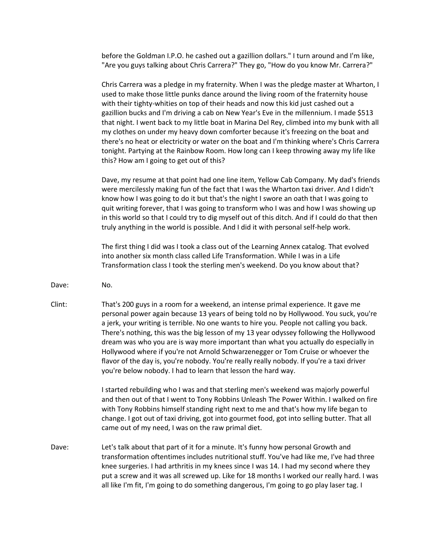before the Goldman I.P.O. he cashed out a gazillion dollars." I turn around and I'm like, "Are you guys talking about Chris Carrera?" They go, "How do you know Mr. Carrera?"

Chris Carrera was a pledge in my fraternity. When I was the pledge master at Wharton, I used to make those little punks dance around the living room of the fraternity house with their tighty-whities on top of their heads and now this kid just cashed out a gazillion bucks and I'm driving a cab on New Year's Eve in the millennium. I made \$513 that night. I went back to my little boat in Marina Del Rey, climbed into my bunk with all my clothes on under my heavy down comforter because it's freezing on the boat and there's no heat or electricity or water on the boat and I'm thinking where's Chris Carrera tonight. Partying at the Rainbow Room. How long can I keep throwing away my life like this? How am I going to get out of this?

Dave, my resume at that point had one line item, Yellow Cab Company. My dad's friends were mercilessly making fun of the fact that I was the Wharton taxi driver. And I didn't know how I was going to do it but that's the night I swore an oath that I was going to quit writing forever, that I was going to transform who I was and how I was showing up in this world so that I could try to dig myself out of this ditch. And if I could do that then truly anything in the world is possible. And I did it with personal self-help work.

The first thing I did was I took a class out of the Learning Annex catalog. That evolved into another six month class called Life Transformation. While I was in a Life Transformation class I took the sterling men's weekend. Do you know about that?

- Dave: No.
- Clint: That's 200 guys in a room for a weekend, an intense primal experience. It gave me personal power again because 13 years of being told no by Hollywood. You suck, you're a jerk, your writing is terrible. No one wants to hire you. People not calling you back. There's nothing, this was the big lesson of my 13 year odyssey following the Hollywood dream was who you are is way more important than what you actually do especially in Hollywood where if you're not Arnold Schwarzenegger or Tom Cruise or whoever the flavor of the day is, you're nobody. You're really really nobody. If you're a taxi driver you're below nobody. I had to learn that lesson the hard way.

I started rebuilding who I was and that sterling men's weekend was majorly powerful and then out of that I went to Tony Robbins Unleash The Power Within. I walked on fire with Tony Robbins himself standing right next to me and that's how my life began to change. I got out of taxi driving, got into gourmet food, got into selling butter. That all came out of my need, I was on the raw primal diet.

Dave: Let's talk about that part of it for a minute. It's funny how personal Growth and transformation oftentimes includes nutritional stuff. You've had like me, I've had three knee surgeries. I had arthritis in my knees since I was 14. I had my second where they put a screw and it was all screwed up. Like for 18 months I worked our really hard. I was all like I'm fit, I'm going to do something dangerous, I'm going to go play laser tag. I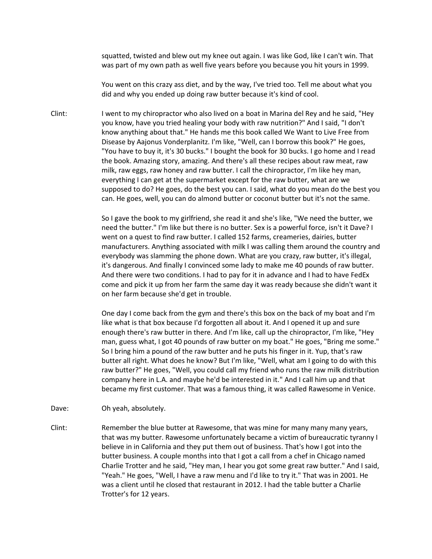squatted, twisted and blew out my knee out again. I was like God, like I can't win. That was part of my own path as well five years before you because you hit yours in 1999.

You went on this crazy ass diet, and by the way, I've tried too. Tell me about what you did and why you ended up doing raw butter because it's kind of cool.

Clint: I went to my chiropractor who also lived on a boat in Marina del Rey and he said, "Hey you know, have you tried healing your body with raw nutrition?" And I said, "I don't know anything about that." He hands me this book called We Want to Live Free from Disease by Aajonus Vonderplanitz. I'm like, "Well, can I borrow this book?" He goes, "You have to buy it, it's 30 bucks." I bought the book for 30 bucks. I go home and I read the book. Amazing story, amazing. And there's all these recipes about raw meat, raw milk, raw eggs, raw honey and raw butter. I call the chiropractor, I'm like hey man, everything I can get at the supermarket except for the raw butter, what are we supposed to do? He goes, do the best you can. I said, what do you mean do the best you can. He goes, well, you can do almond butter or coconut butter but it's not the same.

> So I gave the book to my girlfriend, she read it and she's like, "We need the butter, we need the butter." I'm like but there is no butter. Sex is a powerful force, isn't it Dave? I went on a quest to find raw butter. I called 152 farms, creameries, dairies, butter manufacturers. Anything associated with milk I was calling them around the country and everybody was slamming the phone down. What are you crazy, raw butter, it's illegal, it's dangerous. And finally I convinced some lady to make me 40 pounds of raw butter. And there were two conditions. I had to pay for it in advance and I had to have FedEx come and pick it up from her farm the same day it was ready because she didn't want it on her farm because she'd get in trouble.

> One day I come back from the gym and there's this box on the back of my boat and I'm like what is that box because I'd forgotten all about it. And I opened it up and sure enough there's raw butter in there. And I'm like, call up the chiropractor, I'm like, "Hey man, guess what, I got 40 pounds of raw butter on my boat." He goes, "Bring me some." So I bring him a pound of the raw butter and he puts his finger in it. Yup, that's raw butter all right. What does he know? But I'm like, "Well, what am I going to do with this raw butter?" He goes, "Well, you could call my friend who runs the raw milk distribution company here in L.A. and maybe he'd be interested in it." And I call him up and that became my first customer. That was a famous thing, it was called Rawesome in Venice.

- Dave: Oh yeah, absolutely.
- Clint: Remember the blue butter at Rawesome, that was mine for many many many years, that was my butter. Rawesome unfortunately became a victim of bureaucratic tyranny I believe in in California and they put them out of business. That's how I got into the butter business. A couple months into that I got a call from a chef in Chicago named Charlie Trotter and he said, "Hey man, I hear you got some great raw butter." And I said, "Yeah." He goes, "Well, I have a raw menu and I'd like to try it." That was in 2001. He was a client until he closed that restaurant in 2012. I had the table butter a Charlie Trotter's for 12 years.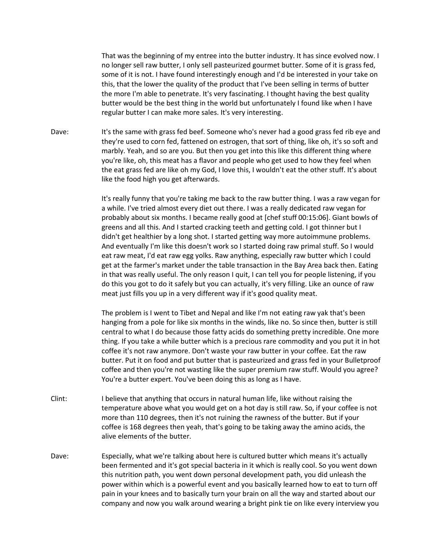That was the beginning of my entree into the butter industry. It has since evolved now. I no longer sell raw butter, I only sell pasteurized gourmet butter. Some of it is grass fed, some of it is not. I have found interestingly enough and I'd be interested in your take on this, that the lower the quality of the product that I've been selling in terms of butter the more I'm able to penetrate. It's very fascinating. I thought having the best quality butter would be the best thing in the world but unfortunately I found like when I have regular butter I can make more sales. It's very interesting.

Dave: It's the same with grass fed beef. Someone who's never had a good grass fed rib eye and they're used to corn fed, fattened on estrogen, that sort of thing, like oh, it's so soft and marbly. Yeah, and so are you. But then you get into this like this different thing where you're like, oh, this meat has a flavor and people who get used to how they feel when the eat grass fed are like oh my God, I love this, I wouldn't eat the other stuff. It's about like the food high you get afterwards.

> It's really funny that you're taking me back to the raw butter thing. I was a raw vegan for a while. I've tried almost every diet out there. I was a really dedicated raw vegan for probably about six months. I became really good at [chef stuff 00:15:06]. Giant bowls of greens and all this. And I started cracking teeth and getting cold. I got thinner but I didn't get healthier by a long shot. I started getting way more autoimmune problems. And eventually I'm like this doesn't work so I started doing raw primal stuff. So I would eat raw meat, I'd eat raw egg yolks. Raw anything, especially raw butter which I could get at the farmer's market under the table transaction in the Bay Area back then. Eating in that was really useful. The only reason I quit, I can tell you for people listening, if you do this you got to do it safely but you can actually, it's very filling. Like an ounce of raw meat just fills you up in a very different way if it's good quality meat.

> The problem is I went to Tibet and Nepal and like I'm not eating raw yak that's been hanging from a pole for like six months in the winds, like no. So since then, butter is still central to what I do because those fatty acids do something pretty incredible. One more thing. If you take a while butter which is a precious rare commodity and you put it in hot coffee it's not raw anymore. Don't waste your raw butter in your coffee. Eat the raw butter. Put it on food and put butter that is pasteurized and grass fed in your Bulletproof coffee and then you're not wasting like the super premium raw stuff. Would you agree? You're a butter expert. You've been doing this as long as I have.

- Clint: I believe that anything that occurs in natural human life, like without raising the temperature above what you would get on a hot day is still raw. So, if your coffee is not more than 110 degrees, then it's not ruining the rawness of the butter. But if your coffee is 168 degrees then yeah, that's going to be taking away the amino acids, the alive elements of the butter.
- Dave: Especially, what we're talking about here is cultured butter which means it's actually been fermented and it's got special bacteria in it which is really cool. So you went down this nutrition path, you went down personal development path, you did unleash the power within which is a powerful event and you basically learned how to eat to turn off pain in your knees and to basically turn your brain on all the way and started about our company and now you walk around wearing a bright pink tie on like every interview you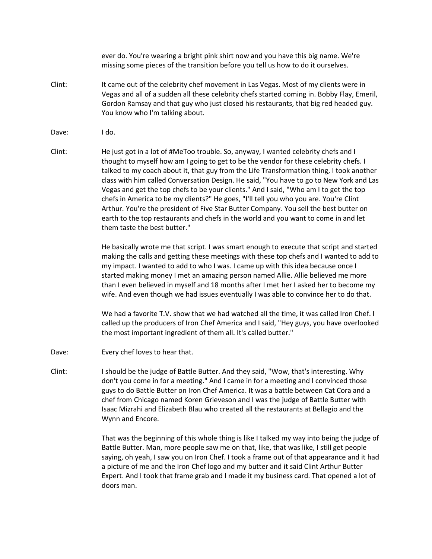ever do. You're wearing a bright pink shirt now and you have this big name. We're missing some pieces of the transition before you tell us how to do it ourselves.

- Clint: It came out of the celebrity chef movement in Las Vegas. Most of my clients were in Vegas and all of a sudden all these celebrity chefs started coming in. Bobby Flay, Emeril, Gordon Ramsay and that guy who just closed his restaurants, that big red headed guy. You know who I'm talking about.
- Dave: I do.
- Clint: He just got in a lot of #MeToo trouble. So, anyway, I wanted celebrity chefs and I thought to myself how am I going to get to be the vendor for these celebrity chefs. I talked to my coach about it, that guy from the Life Transformation thing, I took another class with him called Conversation Design. He said, "You have to go to New York and Las Vegas and get the top chefs to be your clients." And I said, "Who am I to get the top chefs in America to be my clients?" He goes, "I'll tell you who you are. You're Clint Arthur. You're the president of Five Star Butter Company. You sell the best butter on earth to the top restaurants and chefs in the world and you want to come in and let them taste the best butter."

He basically wrote me that script. I was smart enough to execute that script and started making the calls and getting these meetings with these top chefs and I wanted to add to my impact. I wanted to add to who I was. I came up with this idea because once I started making money I met an amazing person named Allie. Allie believed me more than I even believed in myself and 18 months after I met her I asked her to become my wife. And even though we had issues eventually I was able to convince her to do that.

We had a favorite T.V. show that we had watched all the time, it was called Iron Chef. I called up the producers of Iron Chef America and I said, "Hey guys, you have overlooked the most important ingredient of them all. It's called butter."

- Dave: Every chef loves to hear that.
- Clint: I should be the judge of Battle Butter. And they said, "Wow, that's interesting. Why don't you come in for a meeting." And I came in for a meeting and I convinced those guys to do Battle Butter on Iron Chef America. It was a battle between Cat Cora and a chef from Chicago named Koren Grieveson and I was the judge of Battle Butter with Isaac Mizrahi and Elizabeth Blau who created all the restaurants at Bellagio and the Wynn and Encore.

That was the beginning of this whole thing is like I talked my way into being the judge of Battle Butter. Man, more people saw me on that, like, that was like, I still get people saying, oh yeah, I saw you on Iron Chef. I took a frame out of that appearance and it had a picture of me and the Iron Chef logo and my butter and it said Clint Arthur Butter Expert. And I took that frame grab and I made it my business card. That opened a lot of doors man.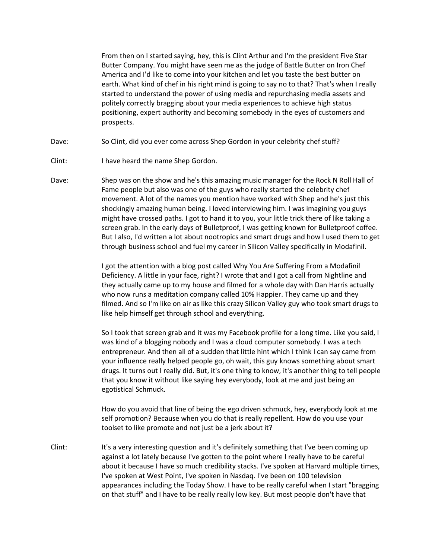From then on I started saying, hey, this is Clint Arthur and I'm the president Five Star Butter Company. You might have seen me as the judge of Battle Butter on Iron Chef America and I'd like to come into your kitchen and let you taste the best butter on earth. What kind of chef in his right mind is going to say no to that? That's when I really started to understand the power of using media and repurchasing media assets and politely correctly bragging about your media experiences to achieve high status positioning, expert authority and becoming somebody in the eyes of customers and prospects.

- Dave: So Clint, did you ever come across Shep Gordon in your celebrity chef stuff?
- Clint: I have heard the name Shep Gordon.
- Dave: Shep was on the show and he's this amazing music manager for the Rock N Roll Hall of Fame people but also was one of the guys who really started the celebrity chef movement. A lot of the names you mention have worked with Shep and he's just this shockingly amazing human being. I loved interviewing him. I was imagining you guys might have crossed paths. I got to hand it to you, your little trick there of like taking a screen grab. In the early days of Bulletproof, I was getting known for Bulletproof coffee. But I also, I'd written a lot about nootropics and smart drugs and how I used them to get through business school and fuel my career in Silicon Valley specifically in Modafinil.

I got the attention with a blog post called Why You Are Suffering From a Modafinil Deficiency. A little in your face, right? I wrote that and I got a call from Nightline and they actually came up to my house and filmed for a whole day with Dan Harris actually who now runs a meditation company called 10% Happier. They came up and they filmed. And so I'm like on air as like this crazy Silicon Valley guy who took smart drugs to like help himself get through school and everything.

So I took that screen grab and it was my Facebook profile for a long time. Like you said, I was kind of a blogging nobody and I was a cloud computer somebody. I was a tech entrepreneur. And then all of a sudden that little hint which I think I can say came from your influence really helped people go, oh wait, this guy knows something about smart drugs. It turns out I really did. But, it's one thing to know, it's another thing to tell people that you know it without like saying hey everybody, look at me and just being an egotistical Schmuck.

How do you avoid that line of being the ego driven schmuck, hey, everybody look at me self promotion? Because when you do that is really repellent. How do you use your toolset to like promote and not just be a jerk about it?

Clint: It's a very interesting question and it's definitely something that I've been coming up against a lot lately because I've gotten to the point where I really have to be careful about it because I have so much credibility stacks. I've spoken at Harvard multiple times, I've spoken at West Point, I've spoken in Nasdaq. I've been on 100 television appearances including the Today Show. I have to be really careful when I start "bragging on that stuff" and I have to be really really low key. But most people don't have that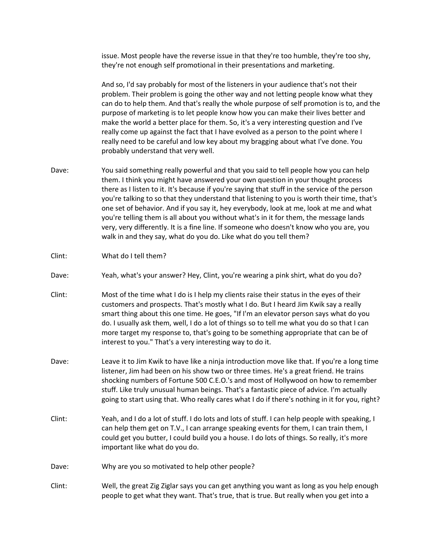issue. Most people have the reverse issue in that they're too humble, they're too shy, they're not enough self promotional in their presentations and marketing.

And so, I'd say probably for most of the listeners in your audience that's not their problem. Their problem is going the other way and not letting people know what they can do to help them. And that's really the whole purpose of self promotion is to, and the purpose of marketing is to let people know how you can make their lives better and make the world a better place for them. So, it's a very interesting question and I've really come up against the fact that I have evolved as a person to the point where I really need to be careful and low key about my bragging about what I've done. You probably understand that very well.

- Dave: You said something really powerful and that you said to tell people how you can help them. I think you might have answered your own question in your thought process there as I listen to it. It's because if you're saying that stuff in the service of the person you're talking to so that they understand that listening to you is worth their time, that's one set of behavior. And if you say it, hey everybody, look at me, look at me and what you're telling them is all about you without what's in it for them, the message lands very, very differently. It is a fine line. If someone who doesn't know who you are, you walk in and they say, what do you do. Like what do you tell them?
- Clint: What do I tell them?
- Dave: Yeah, what's your answer? Hey, Clint, you're wearing a pink shirt, what do you do?
- Clint: Most of the time what I do is I help my clients raise their status in the eyes of their customers and prospects. That's mostly what I do. But I heard Jim Kwik say a really smart thing about this one time. He goes, "If I'm an elevator person says what do you do. I usually ask them, well, I do a lot of things so to tell me what you do so that I can more target my response to, that's going to be something appropriate that can be of interest to you." That's a very interesting way to do it.
- Dave: Leave it to Jim Kwik to have like a ninja introduction move like that. If you're a long time listener, Jim had been on his show two or three times. He's a great friend. He trains shocking numbers of Fortune 500 C.E.O.'s and most of Hollywood on how to remember stuff. Like truly unusual human beings. That's a fantastic piece of advice. I'm actually going to start using that. Who really cares what I do if there's nothing in it for you, right?
- Clint: Yeah, and I do a lot of stuff. I do lots and lots of stuff. I can help people with speaking, I can help them get on T.V., I can arrange speaking events for them, I can train them, I could get you butter, I could build you a house. I do lots of things. So really, it's more important like what do you do.
- Dave: Why are you so motivated to help other people?
- Clint: Well, the great Zig Ziglar says you can get anything you want as long as you help enough people to get what they want. That's true, that is true. But really when you get into a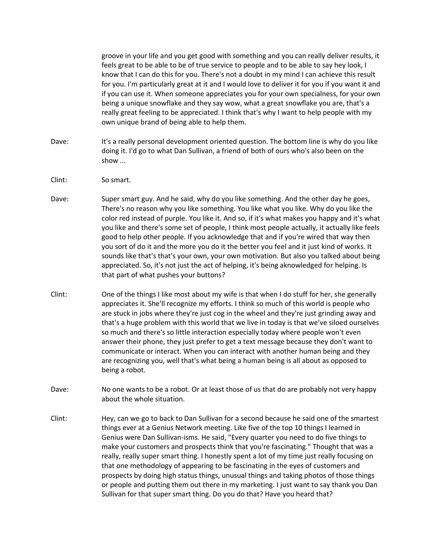groove in your life and you get good with something and you can really deliver results, it feels great to be able to be of true service to people and to be able to say hey look, I know that I can do this for you. There's not a doubt in my mind I can achieve this result for you. I'm particularly great at it and I would love to deliver it for you if you want it and if you can use it. When someone appreciates you for your own specialness, for your own being a unique snowflake and they say wow, what a great snowflake you are, that's a really great feeling to be appreciated. I think that's why I want to help people with my own unique brand of being able to help them.

- Dave: It's a really personal development oriented question. The bottom line is why do you like doing it. I'd go to what Dan Sullivan, a friend of both of ours who's also been on the show ...
- Clint: So smart.
- Dave: Super smart guy. And he said, why do you like something. And the other day he goes, There's no reason why you like something. You like what you like. Why do you like the color red instead of purple. You like it. And so, if it's what makes you happy and it's what you like and there's some set of people, I think most people actually, it actually like feels good to help other people. If you acknowledge that and if you're wired that way then you sort of do it and the more you do it the better you feel and it just kind of works. It sounds like that's that's your own, your own motivation. But also you talked about being appreciated. So, it's not just the act of helping, it's being aknowledged for helping. Is that part of what pushes your buttons?
- Clint: One of the things I like most about my wife is that when I do stuff for her, she generally appreciates it. She'll recognize my efforts. I think so much of this world is people who are stuck in jobs where they're just cog in the wheel and they're just grinding away and that's a huge problem with this world that we live in today is that we've siloed ourselves so much and there's so little interaction especially today where people won't even answer their phone, they just prefer to get a text message because they don't want to communicate or interact. When you can interact with another human being and they are recognizing you, well that's what being a human being is all about as opposed to being a robot.
- Dave: No one wants to be a robot. Or at least those of us that do are probably not very happy about the whole situation.
- Clint: Hey, can we go to back to Dan Sullivan for a second because he said one of the smartest things ever at a Genius Network meeting. Like five of the top 10 things I learned in Genius were Dan Sullivan-isms. He said, "Every quarter you need to do five things to make your customers and prospects think that you're fascinating." Thought that was a really, really super smart thing. I honestly spent a lot of my time just really focusing on that one methodology of appearing to be fascinating in the eyes of customers and prospects by doing high status things, unusual things and taking photos of those things or people and putting them out there in my marketing. I just want to say thank you Dan Sullivan for that super smart thing. Do you do that? Have you heard that?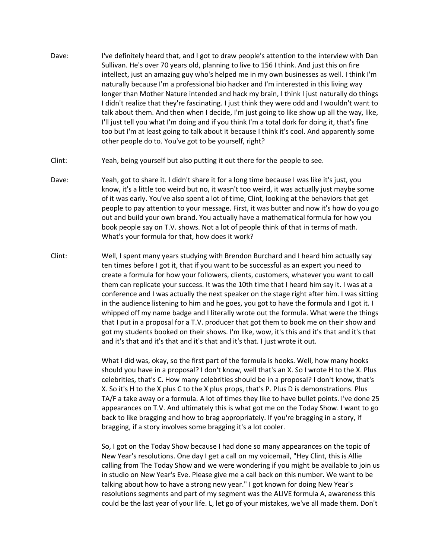- Dave: I've definitely heard that, and I got to draw people's attention to the interview with Dan Sullivan. He's over 70 years old, planning to live to 156 I think. And just this on fire intellect, just an amazing guy who's helped me in my own businesses as well. I think I'm naturally because I'm a professional bio hacker and I'm interested in this living way longer than Mother Nature intended and hack my brain, I think I just naturally do things I didn't realize that they're fascinating. I just think they were odd and I wouldn't want to talk about them. And then when I decide, I'm just going to like show up all the way, like, I'll just tell you what I'm doing and if you think I'm a total dork for doing it, that's fine too but I'm at least going to talk about it because I think it's cool. And apparently some other people do to. You've got to be yourself, right?
- Clint: Yeah, being yourself but also putting it out there for the people to see.
- Dave: Yeah, got to share it. I didn't share it for a long time because I was like it's just, you know, it's a little too weird but no, it wasn't too weird, it was actually just maybe some of it was early. You've also spent a lot of time, Clint, looking at the behaviors that get people to pay attention to your message. First, it was butter and now it's how do you go out and build your own brand. You actually have a mathematical formula for how you book people say on T.V. shows. Not a lot of people think of that in terms of math. What's your formula for that, how does it work?
- Clint: Well, I spent many years studying with Brendon Burchard and I heard him actually say ten times before I got it, that if you want to be successful as an expert you need to create a formula for how your followers, clients, customers, whatever you want to call them can replicate your success. It was the 10th time that I heard him say it. I was at a conference and I was actually the next speaker on the stage right after him. I was sitting in the audience listening to him and he goes, you got to have the formula and I got it. I whipped off my name badge and I literally wrote out the formula. What were the things that I put in a proposal for a T.V. producer that got them to book me on their show and got my students booked on their shows. I'm like, wow, it's this and it's that and it's that and it's that and it's that and it's that and it's that. I just wrote it out.

What I did was, okay, so the first part of the formula is hooks. Well, how many hooks should you have in a proposal? I don't know, well that's an X. So I wrote H to the X. Plus celebrities, that's C. How many celebrities should be in a proposal? I don't know, that's X. So it's H to the X plus C to the X plus props, that's P. Plus D is demonstrations. Plus TA/F a take away or a formula. A lot of times they like to have bullet points. I've done 25 appearances on T.V. And ultimately this is what got me on the Today Show. I want to go back to like bragging and how to brag appropriately. If you're bragging in a story, if bragging, if a story involves some bragging it's a lot cooler.

So, I got on the Today Show because I had done so many appearances on the topic of New Year's resolutions. One day I get a call on my voicemail, "Hey Clint, this is Allie calling from The Today Show and we were wondering if you might be available to join us in studio on New Year's Eve. Please give me a call back on this number. We want to be talking about how to have a strong new year." I got known for doing New Year's resolutions segments and part of my segment was the ALIVE formula A, awareness this could be the last year of your life. L, let go of your mistakes, we've all made them. Don't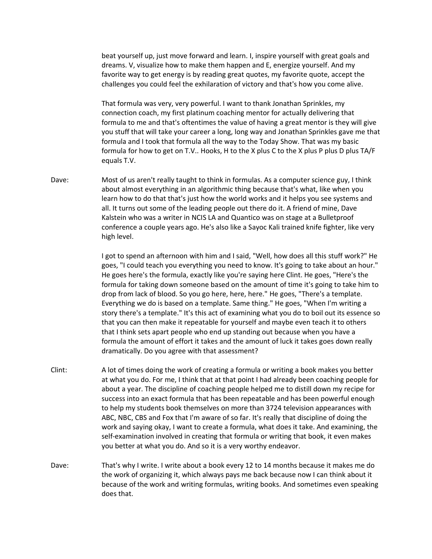beat yourself up, just move forward and learn. I, inspire yourself with great goals and dreams. V, visualize how to make them happen and E, energize yourself. And my favorite way to get energy is by reading great quotes, my favorite quote, accept the challenges you could feel the exhilaration of victory and that's how you come alive.

That formula was very, very powerful. I want to thank Jonathan Sprinkles, my connection coach, my first platinum coaching mentor for actually delivering that formula to me and that's oftentimes the value of having a great mentor is they will give you stuff that will take your career a long, long way and Jonathan Sprinkles gave me that formula and I took that formula all the way to the Today Show. That was my basic formula for how to get on T.V.. Hooks, H to the X plus C to the X plus P plus D plus TA/F equals T.V.

Dave: Most of us aren't really taught to think in formulas. As a computer science guy, I think about almost everything in an algorithmic thing because that's what, like when you learn how to do that that's just how the world works and it helps you see systems and all. It turns out some of the leading people out there do it. A friend of mine, Dave Kalstein who was a writer in NCIS LA and Quantico was on stage at a Bulletproof conference a couple years ago. He's also like a Sayoc Kali trained knife fighter, like very high level.

> I got to spend an afternoon with him and I said, "Well, how does all this stuff work?" He goes, "I could teach you everything you need to know. It's going to take about an hour." He goes here's the formula, exactly like you're saying here Clint. He goes, "Here's the formula for taking down someone based on the amount of time it's going to take him to drop from lack of blood. So you go here, here, here." He goes, "There's a template. Everything we do is based on a template. Same thing." He goes, "When I'm writing a story there's a template." It's this act of examining what you do to boil out its essence so that you can then make it repeatable for yourself and maybe even teach it to others that I think sets apart people who end up standing out because when you have a formula the amount of effort it takes and the amount of luck it takes goes down really dramatically. Do you agree with that assessment?

- Clint: A lot of times doing the work of creating a formula or writing a book makes you better at what you do. For me, I think that at that point I had already been coaching people for about a year. The discipline of coaching people helped me to distill down my recipe for success into an exact formula that has been repeatable and has been powerful enough to help my students book themselves on more than 3724 television appearances with ABC, NBC, CBS and Fox that I'm aware of so far. It's really that discipline of doing the work and saying okay, I want to create a formula, what does it take. And examining, the self-examination involved in creating that formula or writing that book, it even makes you better at what you do. And so it is a very worthy endeavor.
- Dave: That's why I write. I write about a book every 12 to 14 months because it makes me do the work of organizing it, which always pays me back because now I can think about it because of the work and writing formulas, writing books. And sometimes even speaking does that.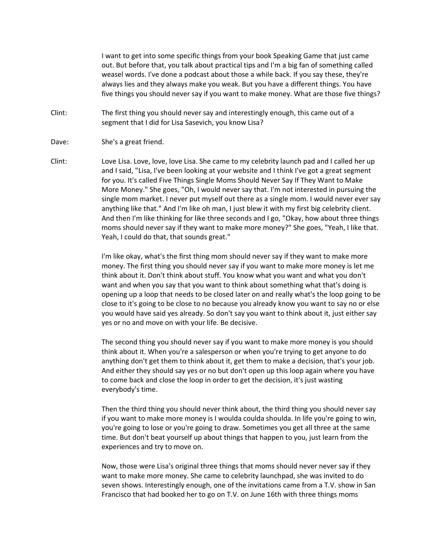I want to get into some specific things from your book Speaking Game that just came out. But before that, you talk about practical tips and I'm a big fan of something called weasel words. I've done a podcast about those a while back. If you say these, they're always lies and they always make you weak. But you have a different things. You have five things you should never say if you want to make money. What are those five things?

- Clint: The first thing you should never say and interestingly enough, this came out of a segment that I did for Lisa Sasevich, you know Lisa?
- Dave: She's a great friend.
- Clint: Love Lisa. Love, love, love Lisa. She came to my celebrity launch pad and I called her up and I said, "Lisa, I've been looking at your website and I think I've got a great segment for you. It's called Five Things Single Moms Should Never Say If They Want to Make More Money." She goes, "Oh, I would never say that. I'm not interested in pursuing the single mom market. I never put myself out there as a single mom. I would never ever say anything like that." And I'm like oh man, I just blew it with my first big celebrity client. And then I'm like thinking for like three seconds and I go, "Okay, how about three things moms should never say if they want to make more money?" She goes, "Yeah, I like that. Yeah, I could do that, that sounds great."

I'm like okay, what's the first thing mom should never say if they want to make more money. The first thing you should never say if you want to make more money is let me think about it. Don't think about stuff. You know what you want and what you don't want and when you say that you want to think about something what that's doing is opening up a loop that needs to be closed later on and really what's the loop going to be close to it's going to be close to no because you already know you want to say no or else you would have said yes already. So don't say you want to think about it, just either say yes or no and move on with your life. Be decisive.

The second thing you should never say if you want to make more money is you should think about it. When you're a salesperson or when you're trying to get anyone to do anything don't get them to think about it, get them to make a decision, that's your job. And either they should say yes or no but don't open up this loop again where you have to come back and close the loop in order to get the decision, it's just wasting everybody's time.

Then the third thing you should never think about, the third thing you should never say if you want to make more money is I woulda coulda shoulda. In life you're going to win, you're going to lose or you're going to draw. Sometimes you get all three at the same time. But don't beat yourself up about things that happen to you, just learn from the experiences and try to move on.

Now, those were Lisa's original three things that moms should never never say if they want to make more money. She came to celebrity launchpad, she was invited to do seven shows. Interestingly enough, one of the invitations came from a T.V. show in San Francisco that had booked her to go on T.V. on June 16th with three things moms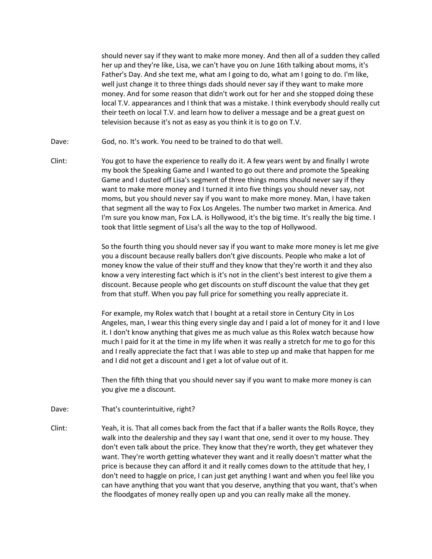should never say if they want to make more money. And then all of a sudden they called her up and they're like, Lisa, we can't have you on June 16th talking about moms, it's Father's Day. And she text me, what am I going to do, what am I going to do. I'm like, well just change it to three things dads should never say if they want to make more money. And for some reason that didn't work out for her and she stopped doing these local T.V. appearances and I think that was a mistake. I think everybody should really cut their teeth on local T.V. and learn how to deliver a message and be a great guest on television because it's not as easy as you think it is to go on T.V.

- Dave: God, no. It's work. You need to be trained to do that well.
- Clint: You got to have the experience to really do it. A few years went by and finally I wrote my book the Speaking Game and I wanted to go out there and promote the Speaking Game and I dusted off Lisa's segment of three things moms should never say if they want to make more money and I turned it into five things you should never say, not moms, but you should never say if you want to make more money. Man, I have taken that segment all the way to Fox Los Angeles. The number two market in America. And I'm sure you know man, Fox L.A. is Hollywood, it's the big time. It's really the big time. I took that little segment of Lisa's all the way to the top of Hollywood.

So the fourth thing you should never say if you want to make more money is let me give you a discount because really ballers don't give discounts. People who make a lot of money know the value of their stuff and they know that they're worth it and they also know a very interesting fact which is it's not in the client's best interest to give them a discount. Because people who get discounts on stuff discount the value that they get from that stuff. When you pay full price for something you really appreciate it.

For example, my Rolex watch that I bought at a retail store in Century City in Los Angeles, man, I wear this thing every single day and I paid a lot of money for it and I love it. I don't know anything that gives me as much value as this Rolex watch because how much I paid for it at the time in my life when it was really a stretch for me to go for this and I really appreciate the fact that I was able to step up and make that happen for me and I did not get a discount and I get a lot of value out of it.

Then the fifth thing that you should never say if you want to make more money is can you give me a discount.

- Dave: That's counterintuitive, right?
- Clint: Yeah, it is. That all comes back from the fact that if a baller wants the Rolls Royce, they walk into the dealership and they say I want that one, send it over to my house. They don't even talk about the price. They know that they're worth, they get whatever they want. They're worth getting whatever they want and it really doesn't matter what the price is because they can afford it and it really comes down to the attitude that hey, I don't need to haggle on price, I can just get anything I want and when you feel like you can have anything that you want that you deserve, anything that you want, that's when the floodgates of money really open up and you can really make all the money.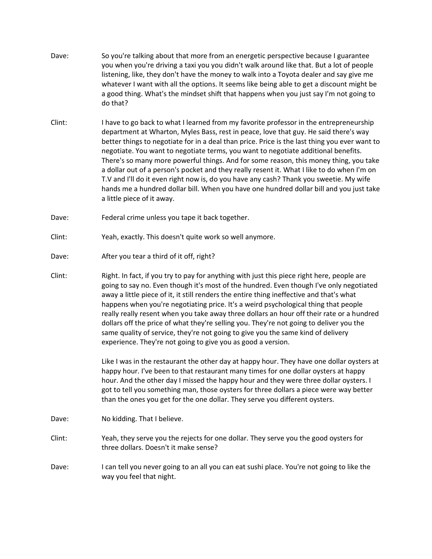- Dave: So you're talking about that more from an energetic perspective because I guarantee you when you're driving a taxi you you didn't walk around like that. But a lot of people listening, like, they don't have the money to walk into a Toyota dealer and say give me whatever I want with all the options. It seems like being able to get a discount might be a good thing. What's the mindset shift that happens when you just say I'm not going to do that?
- Clint: I have to go back to what I learned from my favorite professor in the entrepreneurship department at Wharton, Myles Bass, rest in peace, love that guy. He said there's way better things to negotiate for in a deal than price. Price is the last thing you ever want to negotiate. You want to negotiate terms, you want to negotiate additional benefits. There's so many more powerful things. And for some reason, this money thing, you take a dollar out of a person's pocket and they really resent it. What I like to do when I'm on T.V and I'll do it even right now is, do you have any cash? Thank you sweetie. My wife hands me a hundred dollar bill. When you have one hundred dollar bill and you just take a little piece of it away.
- Dave: Federal crime unless you tape it back together.
- Clint: Yeah, exactly. This doesn't quite work so well anymore.
- Dave: After you tear a third of it off, right?
- Clint: Right. In fact, if you try to pay for anything with just this piece right here, people are going to say no. Even though it's most of the hundred. Even though I've only negotiated away a little piece of it, it still renders the entire thing ineffective and that's what happens when you're negotiating price. It's a weird psychological thing that people really really resent when you take away three dollars an hour off their rate or a hundred dollars off the price of what they're selling you. They're not going to deliver you the same quality of service, they're not going to give you the same kind of delivery experience. They're not going to give you as good a version.

Like I was in the restaurant the other day at happy hour. They have one dollar oysters at happy hour. I've been to that restaurant many times for one dollar oysters at happy hour. And the other day I missed the happy hour and they were three dollar oysters. I got to tell you something man, those oysters for three dollars a piece were way better than the ones you get for the one dollar. They serve you different oysters.

- Dave: No kidding. That I believe.
- Clint: Yeah, they serve you the rejects for one dollar. They serve you the good oysters for three dollars. Doesn't it make sense?
- Dave: I can tell you never going to an all you can eat sushi place. You're not going to like the way you feel that night.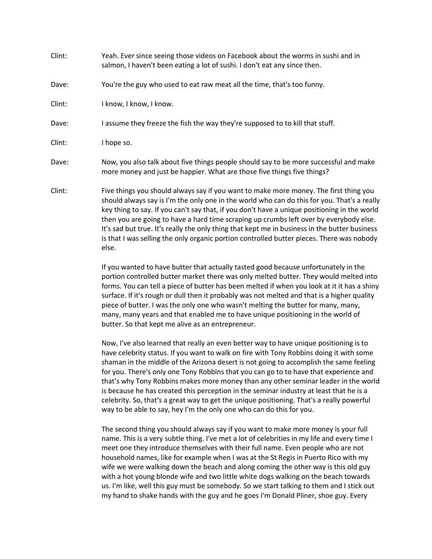| Clint: | Yeah. Ever since seeing those videos on Facebook about the worms in sushi and in<br>salmon, I haven't been eating a lot of sushi. I don't eat any since then.                                                                                                                                                                                                              |
|--------|----------------------------------------------------------------------------------------------------------------------------------------------------------------------------------------------------------------------------------------------------------------------------------------------------------------------------------------------------------------------------|
| Dave:  | You're the guy who used to eat raw meat all the time, that's too funny.                                                                                                                                                                                                                                                                                                    |
| Clint: | I know, I know, I know.                                                                                                                                                                                                                                                                                                                                                    |
| Dave:  | I assume they freeze the fish the way they're supposed to to kill that stuff.                                                                                                                                                                                                                                                                                              |
| Clint: | I hope so.                                                                                                                                                                                                                                                                                                                                                                 |
| Dave:  | Now, you also talk about five things people should say to be more successful and make<br>more money and just be happier. What are those five things five things?                                                                                                                                                                                                           |
| Clint: | Five things you should always say if you want to make more money. The first thing you<br>should always say is I'm the only one in the world who can do this for you. That's a real<br>key thing to say. If you can't say that, if you don't have a unique positioning in the worl<br>then you are going to have a hard time scraping up crumbs left over by everybody else |

Clint: Five things you should always say if you want to make more money. The first thing you should always say is I'm the only one in the world who can do this for you. That's a really key thing to say. If you can't say that, if you don't have a unique positioning in the world then you are going to have a hard time scraping up crumbs left over by everybody else. It's sad but true. It's really the only thing that kept me in business in the butter business is that I was selling the only organic portion controlled butter pieces. There was nobody else.

> If you wanted to have butter that actually tasted good because unfortunately in the portion controlled butter market there was only melted butter. They would melted into forms. You can tell a piece of butter has been melted if when you look at it it has a shiny surface. If it's rough or dull then it probably was not melted and that is a higher quality piece of butter. I was the only one who wasn't melting the butter for many, many, many, many years and that enabled me to have unique positioning in the world of butter. So that kept me alive as an entrepreneur.

> Now, I've also learned that really an even better way to have unique positioning is to have celebrity status. If you want to walk on fire with Tony Robbins doing it with some shaman in the middle of the Arizona desert is not going to accomplish the same feeling for you. There's only one Tony Robbins that you can go to to have that experience and that's why Tony Robbins makes more money than any other seminar leader in the world is because he has created this perception in the seminar industry at least that he is a celebrity. So, that's a great way to get the unique positioning. That's a really powerful way to be able to say, hey I'm the only one who can do this for you.

The second thing you should always say if you want to make more money is your full name. This is a very subtle thing. I've met a lot of celebrities in my life and every time I meet one they introduce themselves with their full name. Even people who are not household names, like for example when I was at the St Regis in Puerto Rico with my wife we were walking down the beach and along coming the other way is this old guy with a hot young blonde wife and two little white dogs walking on the beach towards us. I'm like, well this guy must be somebody. So we start talking to them and I stick out my hand to shake hands with the guy and he goes I'm Donald Pliner, shoe guy. Every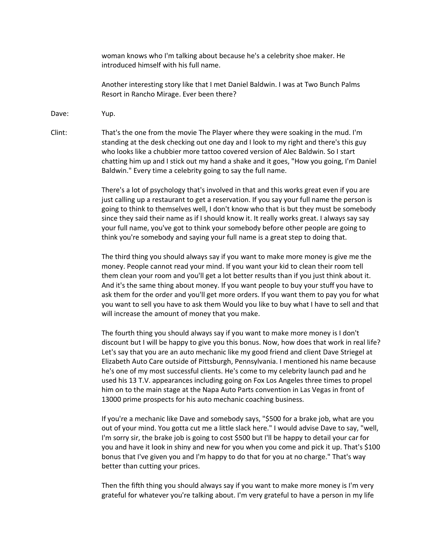woman knows who I'm talking about because he's a celebrity shoe maker. He introduced himself with his full name.

Another interesting story like that I met Daniel Baldwin. I was at Two Bunch Palms Resort in Rancho Mirage. Ever been there?

Dave: Yup.

Clint: That's the one from the movie The Player where they were soaking in the mud. I'm standing at the desk checking out one day and I look to my right and there's this guy who looks like a chubbier more tattoo covered version of Alec Baldwin. So I start chatting him up and I stick out my hand a shake and it goes, "How you going, I'm Daniel Baldwin." Every time a celebrity going to say the full name.

> There's a lot of psychology that's involved in that and this works great even if you are just calling up a restaurant to get a reservation. If you say your full name the person is going to think to themselves well, I don't know who that is but they must be somebody since they said their name as if I should know it. It really works great. I always say say your full name, you've got to think your somebody before other people are going to think you're somebody and saying your full name is a great step to doing that.

The third thing you should always say if you want to make more money is give me the money. People cannot read your mind. If you want your kid to clean their room tell them clean your room and you'll get a lot better results than if you just think about it. And it's the same thing about money. If you want people to buy your stuff you have to ask them for the order and you'll get more orders. If you want them to pay you for what you want to sell you have to ask them Would you like to buy what I have to sell and that will increase the amount of money that you make.

The fourth thing you should always say if you want to make more money is I don't discount but I will be happy to give you this bonus. Now, how does that work in real life? Let's say that you are an auto mechanic like my good friend and client Dave Striegel at Elizabeth Auto Care outside of Pittsburgh, Pennsylvania. I mentioned his name because he's one of my most successful clients. He's come to my celebrity launch pad and he used his 13 T.V. appearances including going on Fox Los Angeles three times to propel him on to the main stage at the Napa Auto Parts convention in Las Vegas in front of 13000 prime prospects for his auto mechanic coaching business.

If you're a mechanic like Dave and somebody says, "\$500 for a brake job, what are you out of your mind. You gotta cut me a little slack here." I would advise Dave to say, "well, I'm sorry sir, the brake job is going to cost \$500 but I'll be happy to detail your car for you and have it look in shiny and new for you when you come and pick it up. That's \$100 bonus that I've given you and I'm happy to do that for you at no charge." That's way better than cutting your prices.

Then the fifth thing you should always say if you want to make more money is I'm very grateful for whatever you're talking about. I'm very grateful to have a person in my life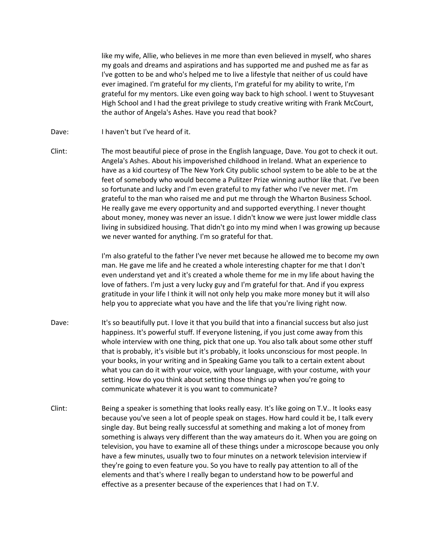like my wife, Allie, who believes in me more than even believed in myself, who shares my goals and dreams and aspirations and has supported me and pushed me as far as I've gotten to be and who's helped me to live a lifestyle that neither of us could have ever imagined. I'm grateful for my clients, I'm grateful for my ability to write, I'm grateful for my mentors. Like even going way back to high school. I went to Stuyvesant High School and I had the great privilege to study creative writing with Frank McCourt, the author of Angela's Ashes. Have you read that book?

- Dave: I haven't but I've heard of it.
- Clint: The most beautiful piece of prose in the English language, Dave. You got to check it out. Angela's Ashes. About his impoverished childhood in Ireland. What an experience to have as a kid courtesy of The New York City public school system to be able to be at the feet of somebody who would become a Pulitzer Prize winning author like that. I've been so fortunate and lucky and I'm even grateful to my father who I've never met. I'm grateful to the man who raised me and put me through the Wharton Business School. He really gave me every opportunity and and supported everything. I never thought about money, money was never an issue. I didn't know we were just lower middle class living in subsidized housing. That didn't go into my mind when I was growing up because we never wanted for anything. I'm so grateful for that.

I'm also grateful to the father I've never met because he allowed me to become my own man. He gave me life and he created a whole interesting chapter for me that I don't even understand yet and it's created a whole theme for me in my life about having the love of fathers. I'm just a very lucky guy and I'm grateful for that. And if you express gratitude in your life I think it will not only help you make more money but it will also help you to appreciate what you have and the life that you're living right now.

- Dave: It's so beautifully put. I love it that you build that into a financial success but also just happiness. It's powerful stuff. If everyone listening, if you just come away from this whole interview with one thing, pick that one up. You also talk about some other stuff that is probably, it's visible but it's probably, it looks unconscious for most people. In your books, in your writing and in Speaking Game you talk to a certain extent about what you can do it with your voice, with your language, with your costume, with your setting. How do you think about setting those things up when you're going to communicate whatever it is you want to communicate?
- Clint: Being a speaker is something that looks really easy. It's like going on T.V.. It looks easy because you've seen a lot of people speak on stages. How hard could it be, I talk every single day. But being really successful at something and making a lot of money from something is always very different than the way amateurs do it. When you are going on television, you have to examine all of these things under a microscope because you only have a few minutes, usually two to four minutes on a network television interview if they're going to even feature you. So you have to really pay attention to all of the elements and that's where I really began to understand how to be powerful and effective as a presenter because of the experiences that I had on T.V.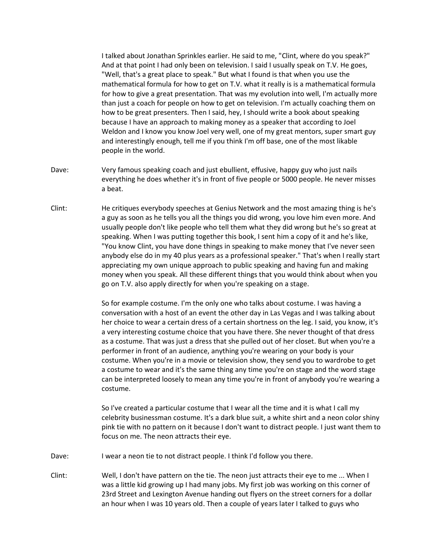I talked about Jonathan Sprinkles earlier. He said to me, "Clint, where do you speak?" And at that point I had only been on television. I said I usually speak on T.V. He goes, "Well, that's a great place to speak." But what I found is that when you use the mathematical formula for how to get on T.V. what it really is is a mathematical formula for how to give a great presentation. That was my evolution into well, I'm actually more than just a coach for people on how to get on television. I'm actually coaching them on how to be great presenters. Then I said, hey, I should write a book about speaking because I have an approach to making money as a speaker that according to Joel Weldon and I know you know Joel very well, one of my great mentors, super smart guy and interestingly enough, tell me if you think I'm off base, one of the most likable people in the world.

- Dave: Very famous speaking coach and just ebullient, effusive, happy guy who just nails everything he does whether it's in front of five people or 5000 people. He never misses a beat.
- Clint: He critiques everybody speeches at Genius Network and the most amazing thing is he's a guy as soon as he tells you all the things you did wrong, you love him even more. And usually people don't like people who tell them what they did wrong but he's so great at speaking. When I was putting together this book, I sent him a copy of it and he's like, "You know Clint, you have done things in speaking to make money that I've never seen anybody else do in my 40 plus years as a professional speaker." That's when I really start appreciating my own unique approach to public speaking and having fun and making money when you speak. All these different things that you would think about when you go on T.V. also apply directly for when you're speaking on a stage.

So for example costume. I'm the only one who talks about costume. I was having a conversation with a host of an event the other day in Las Vegas and I was talking about her choice to wear a certain dress of a certain shortness on the leg. I said, you know, it's a very interesting costume choice that you have there. She never thought of that dress as a costume. That was just a dress that she pulled out of her closet. But when you're a performer in front of an audience, anything you're wearing on your body is your costume. When you're in a movie or television show, they send you to wardrobe to get a costume to wear and it's the same thing any time you're on stage and the word stage can be interpreted loosely to mean any time you're in front of anybody you're wearing a costume.

So I've created a particular costume that I wear all the time and it is what I call my celebrity businessman costume. It's a dark blue suit, a white shirt and a neon color shiny pink tie with no pattern on it because I don't want to distract people. I just want them to focus on me. The neon attracts their eye.

- Dave: I wear a neon tie to not distract people. I think I'd follow you there.
- Clint: Well, I don't have pattern on the tie. The neon just attracts their eye to me ... When I was a little kid growing up I had many jobs. My first job was working on this corner of 23rd Street and Lexington Avenue handing out flyers on the street corners for a dollar an hour when I was 10 years old. Then a couple of years later I talked to guys who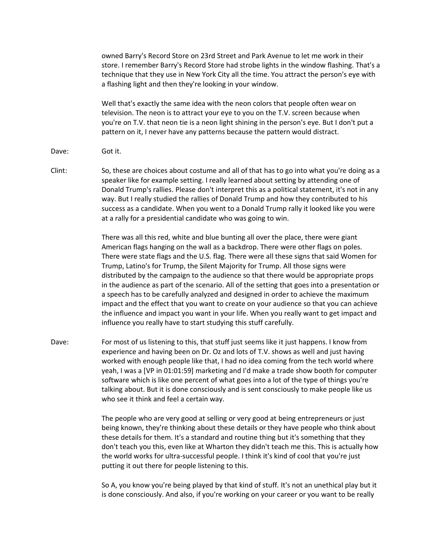owned Barry's Record Store on 23rd Street and Park Avenue to let me work in their store. I remember Barry's Record Store had strobe lights in the window flashing. That's a technique that they use in New York City all the time. You attract the person's eye with a flashing light and then they're looking in your window.

Well that's exactly the same idea with the neon colors that people often wear on television. The neon is to attract your eye to you on the T.V. screen because when you're on T.V. that neon tie is a neon light shining in the person's eye. But I don't put a pattern on it, I never have any patterns because the pattern would distract.

- Dave: Got it.
- Clint: So, these are choices about costume and all of that has to go into what you're doing as a speaker like for example setting. I really learned about setting by attending one of Donald Trump's rallies. Please don't interpret this as a political statement, it's not in any way. But I really studied the rallies of Donald Trump and how they contributed to his success as a candidate. When you went to a Donald Trump rally it looked like you were at a rally for a presidential candidate who was going to win.

There was all this red, white and blue bunting all over the place, there were giant American flags hanging on the wall as a backdrop. There were other flags on poles. There were state flags and the U.S. flag. There were all these signs that said Women for Trump, Latino's for Trump, the Silent Majority for Trump. All those signs were distributed by the campaign to the audience so that there would be appropriate props in the audience as part of the scenario. All of the setting that goes into a presentation or a speech has to be carefully analyzed and designed in order to achieve the maximum impact and the effect that you want to create on your audience so that you can achieve the influence and impact you want in your life. When you really want to get impact and influence you really have to start studying this stuff carefully.

Dave: For most of us listening to this, that stuff just seems like it just happens. I know from experience and having been on Dr. Oz and lots of T.V. shows as well and just having worked with enough people like that, I had no idea coming from the tech world where yeah, I was a [VP in 01:01:59] marketing and I'd make a trade show booth for computer software which is like one percent of what goes into a lot of the type of things you're talking about. But it is done consciously and is sent consciously to make people like us who see it think and feel a certain way.

> The people who are very good at selling or very good at being entrepreneurs or just being known, they're thinking about these details or they have people who think about these details for them. It's a standard and routine thing but it's something that they don't teach you this, even like at Wharton they didn't teach me this. This is actually how the world works for ultra-successful people. I think it's kind of cool that you're just putting it out there for people listening to this.

> So A, you know you're being played by that kind of stuff. It's not an unethical play but it is done consciously. And also, if you're working on your career or you want to be really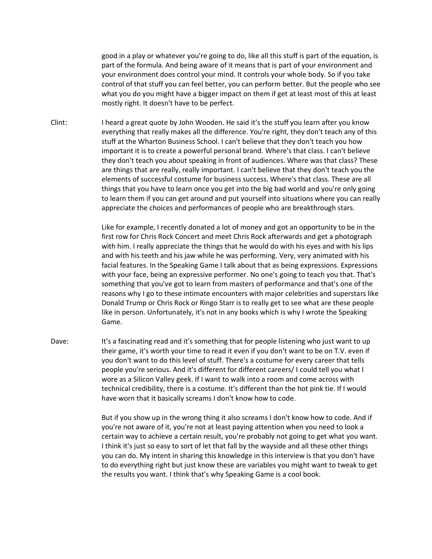good in a play or whatever you're going to do, like all this stuff is part of the equation, is part of the formula. And being aware of it means that is part of your environment and your environment does control your mind. It controls your whole body. So if you take control of that stuff you can feel better, you can perform better. But the people who see what you do you might have a bigger impact on them if get at least most of this at least mostly right. It doesn't have to be perfect.

Clint: I heard a great quote by John Wooden. He said it's the stuff you learn after you know everything that really makes all the difference. You're right, they don't teach any of this stuff at the Wharton Business School. I can't believe that they don't teach you how important it is to create a powerful personal brand. Where's that class. I can't believe they don't teach you about speaking in front of audiences. Where was that class? These are things that are really, really important. I can't believe that they don't teach you the elements of successful costume for business success. Where's that class. These are all things that you have to learn once you get into the big bad world and you're only going to learn them if you can get around and put yourself into situations where you can really appreciate the choices and performances of people who are breakthrough stars.

> Like for example, I recently donated a lot of money and got an opportunity to be in the first row for Chris Rock Concert and meet Chris Rock afterwards and get a photograph with him. I really appreciate the things that he would do with his eyes and with his lips and with his teeth and his jaw while he was performing. Very, very animated with his facial features. In the Speaking Game I talk about that as being expressions. Expressions with your face, being an expressive performer. No one's going to teach you that. That's something that you've got to learn from masters of performance and that's one of the reasons why I go to these intimate encounters with major celebrities and superstars like Donald Trump or Chris Rock or Ringo Starr is to really get to see what are these people like in person. Unfortunately, it's not in any books which is why I wrote the Speaking Game.

Dave: It's a fascinating read and it's something that for people listening who just want to up their game, it's worth your time to read it even if you don't want to be on T.V. even if you don't want to do this level of stuff. There's a costume for every career that tells people you're serious. And it's different for different careers/ I could tell you what I wore as a Silicon Valley geek. If I want to walk into a room and come across with technical credibility, there is a costume. It's different than the hot pink tie. If I would have worn that it basically screams I don't know how to code.

> But if you show up in the wrong thing it also screams I don't know how to code. And if you're not aware of it, you're not at least paying attention when you need to look a certain way to achieve a certain result, you're probably not going to get what you want. I think it's just so easy to sort of let that fall by the wayside and all these other things you can do. My intent in sharing this knowledge in this interview is that you don't have to do everything right but just know these are variables you might want to tweak to get the results you want. I think that's why Speaking Game is a cool book.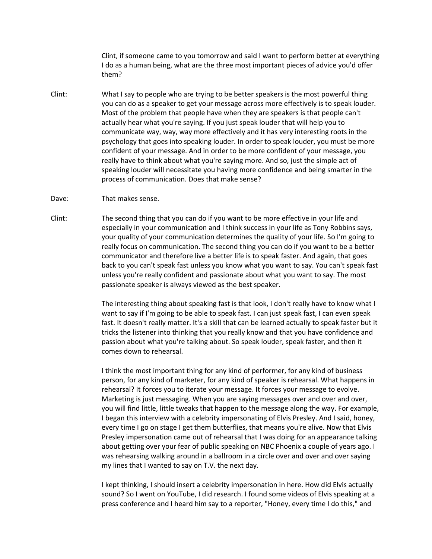Clint, if someone came to you tomorrow and said I want to perform better at everything I do as a human being, what are the three most important pieces of advice you'd offer them?

- Clint: What I say to people who are trying to be better speakers is the most powerful thing you can do as a speaker to get your message across more effectively is to speak louder. Most of the problem that people have when they are speakers is that people can't actually hear what you're saying. If you just speak louder that will help you to communicate way, way, way more effectively and it has very interesting roots in the psychology that goes into speaking louder. In order to speak louder, you must be more confident of your message. And in order to be more confident of your message, you really have to think about what you're saying more. And so, just the simple act of speaking louder will necessitate you having more confidence and being smarter in the process of communication. Does that make sense?
- Dave: That makes sense.
- Clint: The second thing that you can do if you want to be more effective in your life and especially in your communication and I think success in your life as Tony Robbins says, your quality of your communication determines the quality of your life. So I'm going to really focus on communication. The second thing you can do if you want to be a better communicator and therefore live a better life is to speak faster. And again, that goes back to you can't speak fast unless you know what you want to say. You can't speak fast unless you're really confident and passionate about what you want to say. The most passionate speaker is always viewed as the best speaker.

The interesting thing about speaking fast is that look, I don't really have to know what I want to say if I'm going to be able to speak fast. I can just speak fast, I can even speak fast. It doesn't really matter. It's a skill that can be learned actually to speak faster but it tricks the listener into thinking that you really know and that you have confidence and passion about what you're talking about. So speak louder, speak faster, and then it comes down to rehearsal.

I think the most important thing for any kind of performer, for any kind of business person, for any kind of marketer, for any kind of speaker is rehearsal. What happens in rehearsal? It forces you to iterate your message. It forces your message to evolve. Marketing is just messaging. When you are saying messages over and over and over, you will find little, little tweaks that happen to the message along the way. For example, I began this interview with a celebrity impersonating of Elvis Presley. And I said, honey, every time I go on stage I get them butterflies, that means you're alive. Now that Elvis Presley impersonation came out of rehearsal that I was doing for an appearance talking about getting over your fear of public speaking on NBC Phoenix a couple of years ago. I was rehearsing walking around in a ballroom in a circle over and over and over saying my lines that I wanted to say on T.V. the next day.

I kept thinking, I should insert a celebrity impersonation in here. How did Elvis actually sound? So I went on YouTube, I did research. I found some videos of Elvis speaking at a press conference and I heard him say to a reporter, "Honey, every time I do this," and